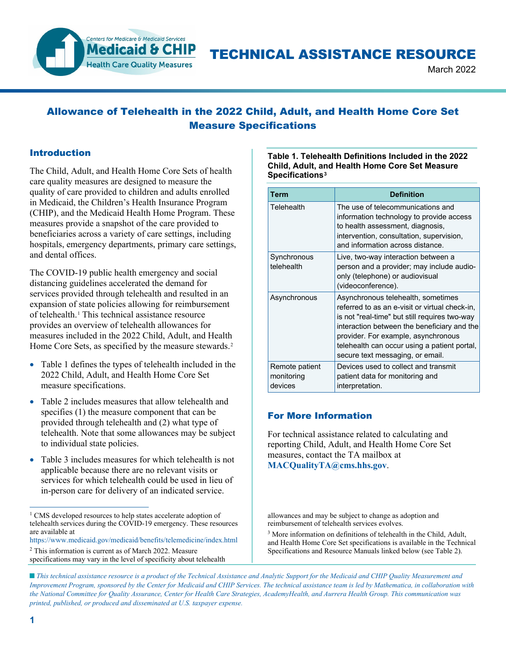

# TECHNICAL ASSISTANCE RESOURCE

March 2022

## Allowance of Telehealth in the 2022 Child, Adult, and Health Home Core Set Measure Specifications

### Introduction

The Child, Adult, and Health Home Core Sets of health care quality measures are designed to measure the quality of care provided to children and adults enrolled in Medicaid, the Children's Health Insurance Program (CHIP), and the Medicaid Health Home Program. These measures provide a snapshot of the care provided to beneficiaries across a variety of care settings, including hospitals, emergency departments, primary care settings, and dental offices.

The COVID-19 public health emergency and social distancing guidelines accelerated the demand for services provided through telehealth and resulted in an expansion of state policies allowing for reimbursement of telehealth.[1](#page-0-0) This technical assistance resource provides an overview of telehealth allowances for measures included in the 2022 Child, Adult, and Health Home Core Sets, as specified by the measure stewards.<sup>[2](#page-0-1)</sup>

- Table 1 defines the types of telehealth included in the 2022 Child, Adult, and Health Home Core Set measure specifications.
- Table 2 includes measures that allow telehealth and specifies (1) the measure component that can be provided through telehealth and (2) what type of telehealth. Note that some allowances may be subject to individual state policies.
- Table 3 includes measures for which telehealth is not applicable because there are no relevant visits or services for which telehealth could be used in lieu of in-person care for delivery of an indicated service.

<span id="page-0-2"></span><https://www.medicaid.gov/medicaid/benefits/telemedicine/index.html> <sup>2</sup> This information is current as of March 2022. Measure

#### **Table 1. Telehealth Definitions Included in the 2022 Child, Adult, and Health Home Core Set Measure Specifications[3](#page-0-2)**

| Term                                    | <b>Definition</b>                                                                                                                                                                                                                                                                                               |
|-----------------------------------------|-----------------------------------------------------------------------------------------------------------------------------------------------------------------------------------------------------------------------------------------------------------------------------------------------------------------|
| Telehealth                              | The use of telecommunications and<br>information technology to provide access<br>to health assessment, diagnosis,<br>intervention, consultation, supervision,<br>and information across distance.                                                                                                               |
| Synchronous<br>telehealth               | Live, two-way interaction between a<br>person and a provider; may include audio-<br>only (telephone) or audiovisual<br>(videoconference).                                                                                                                                                                       |
| Asynchronous                            | Asynchronous telehealth, sometimes<br>referred to as an e-visit or virtual check-in,<br>is not "real-time" but still requires two-way<br>interaction between the beneficiary and the<br>provider. For example, asynchronous<br>telehealth can occur using a patient portal,<br>secure text messaging, or email. |
| Remote patient<br>monitoring<br>devices | Devices used to collect and transmit<br>patient data for monitoring and<br>interpretation.                                                                                                                                                                                                                      |

## For More Information

For technical assistance related to calculating and reporting Child, Adult, and Health Home Core Set measures, contact the TA mailbox at **[MACQualityTA@cms.hhs.gov](mailto:MACQualityTA@cms.hhs.gov)**.

allowances and may be subject to change as adoption and reimbursement of telehealth services evolves.

<sup>3</sup> More information on definitions of telehealth in the Child, Adult, and Health Home Core Set specifications is available in the Technical Specifications and Resource Manuals linked below (see Table 2).

<span id="page-0-0"></span><sup>&</sup>lt;sup>1</sup> CMS developed resources to help states accelerate adoption of telehealth services during the COVID-19 emergency. These resources are available at

<span id="page-0-1"></span>specifications may vary in the level of specificity about telehealth

*This technical assistance resource is a product of the Technical Assistance and Analytic Support for the Medicaid and CHIP Quality Measurement and Improvement Program, sponsored by the Center for Medicaid and CHIP Services. The technical assistance team is led by Mathematica, in collaboration with the National Committee for Quality Assurance, Center for Health Care Strategies, AcademyHealth, and Aurrera Health Group. This communication was printed, published, or produced and disseminated at U.S. taxpayer expense.*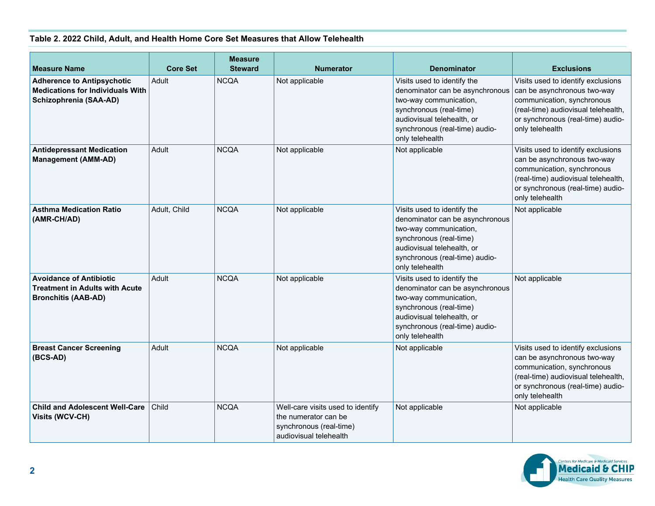## **Table 2. 2022 Child, Adult, and Health Home Core Set Measures that Allow Telehealth**

| <b>Measure Name</b>                                                                                    | <b>Core Set</b> | <b>Measure</b><br><b>Steward</b> | <b>Numerator</b>                                                                                               | <b>Denominator</b>                                                                                                                                                                                     | <b>Exclusions</b>                                                                                                                                                                              |
|--------------------------------------------------------------------------------------------------------|-----------------|----------------------------------|----------------------------------------------------------------------------------------------------------------|--------------------------------------------------------------------------------------------------------------------------------------------------------------------------------------------------------|------------------------------------------------------------------------------------------------------------------------------------------------------------------------------------------------|
| <b>Adherence to Antipsychotic</b><br><b>Medications for Individuals With</b><br>Schizophrenia (SAA-AD) | Adult           | <b>NCQA</b>                      | Not applicable                                                                                                 | Visits used to identify the<br>denominator can be asynchronous<br>two-way communication,<br>synchronous (real-time)<br>audiovisual telehealth, or<br>synchronous (real-time) audio-<br>only telehealth | Visits used to identify exclusions<br>can be asynchronous two-way<br>communication, synchronous<br>(real-time) audiovisual telehealth,<br>or synchronous (real-time) audio-<br>only telehealth |
| <b>Antidepressant Medication</b><br><b>Management (AMM-AD)</b>                                         | Adult           | <b>NCQA</b>                      | Not applicable                                                                                                 | Not applicable                                                                                                                                                                                         | Visits used to identify exclusions<br>can be asynchronous two-way<br>communication, synchronous<br>(real-time) audiovisual telehealth,<br>or synchronous (real-time) audio-<br>only telehealth |
| <b>Asthma Medication Ratio</b><br>(AMR-CH/AD)                                                          | Adult, Child    | <b>NCQA</b>                      | Not applicable                                                                                                 | Visits used to identify the<br>denominator can be asynchronous<br>two-way communication,<br>synchronous (real-time)<br>audiovisual telehealth, or<br>synchronous (real-time) audio-<br>only telehealth | Not applicable                                                                                                                                                                                 |
| <b>Avoidance of Antibiotic</b><br><b>Treatment in Adults with Acute</b><br><b>Bronchitis (AAB-AD)</b>  | Adult           | <b>NCQA</b>                      | Not applicable                                                                                                 | Visits used to identify the<br>denominator can be asynchronous<br>two-way communication,<br>synchronous (real-time)<br>audiovisual telehealth, or<br>synchronous (real-time) audio-<br>only telehealth | Not applicable                                                                                                                                                                                 |
| <b>Breast Cancer Screening</b><br>(BCS-AD)                                                             | Adult           | <b>NCQA</b>                      | Not applicable                                                                                                 | Not applicable                                                                                                                                                                                         | Visits used to identify exclusions<br>can be asynchronous two-way<br>communication, synchronous<br>(real-time) audiovisual telehealth,<br>or synchronous (real-time) audio-<br>only telehealth |
| <b>Child and Adolescent Well-Care</b><br><b>Visits (WCV-CH)</b>                                        | Child           | <b>NCQA</b>                      | Well-care visits used to identify<br>the numerator can be<br>synchronous (real-time)<br>audiovisual telehealth | Not applicable                                                                                                                                                                                         | Not applicable                                                                                                                                                                                 |

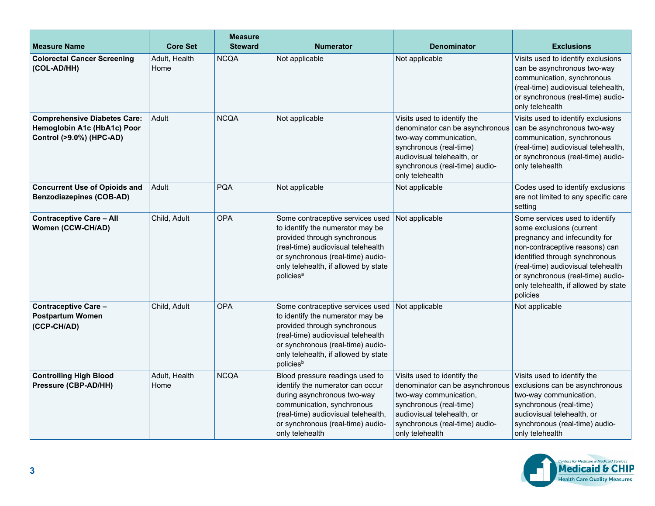| <b>Measure Name</b>                                                                            | <b>Core Set</b>       | <b>Measure</b><br><b>Steward</b> | <b>Numerator</b>                                                                                                                                                                                                                                 | <b>Denominator</b>                                                                                                                                                                                     | <b>Exclusions</b>                                                                                                                                                                                                                                                                              |
|------------------------------------------------------------------------------------------------|-----------------------|----------------------------------|--------------------------------------------------------------------------------------------------------------------------------------------------------------------------------------------------------------------------------------------------|--------------------------------------------------------------------------------------------------------------------------------------------------------------------------------------------------------|------------------------------------------------------------------------------------------------------------------------------------------------------------------------------------------------------------------------------------------------------------------------------------------------|
| <b>Colorectal Cancer Screening</b><br>(COL-AD/HH)                                              | Adult, Health<br>Home | <b>NCQA</b>                      | Not applicable                                                                                                                                                                                                                                   | Not applicable                                                                                                                                                                                         | Visits used to identify exclusions<br>can be asynchronous two-way<br>communication, synchronous<br>(real-time) audiovisual telehealth,<br>or synchronous (real-time) audio-<br>only telehealth                                                                                                 |
| <b>Comprehensive Diabetes Care:</b><br>Hemoglobin A1c (HbA1c) Poor<br>Control (>9.0%) (HPC-AD) | Adult                 | <b>NCQA</b>                      | Not applicable                                                                                                                                                                                                                                   | Visits used to identify the<br>denominator can be asynchronous<br>two-way communication,<br>synchronous (real-time)<br>audiovisual telehealth, or<br>synchronous (real-time) audio-<br>only telehealth | Visits used to identify exclusions<br>can be asynchronous two-way<br>communication, synchronous<br>(real-time) audiovisual telehealth,<br>or synchronous (real-time) audio-<br>only telehealth                                                                                                 |
| <b>Concurrent Use of Opioids and</b><br><b>Benzodiazepines (COB-AD)</b>                        | Adult                 | <b>PQA</b>                       | Not applicable                                                                                                                                                                                                                                   | Not applicable                                                                                                                                                                                         | Codes used to identify exclusions<br>are not limited to any specific care<br>setting                                                                                                                                                                                                           |
| <b>Contraceptive Care - All</b><br>Women (CCW-CH/AD)                                           | Child, Adult          | <b>OPA</b>                       | Some contraceptive services used<br>to identify the numerator may be<br>provided through synchronous<br>(real-time) audiovisual telehealth<br>or synchronous (real-time) audio-<br>only telehealth, if allowed by state<br>policies <sup>a</sup> | Not applicable                                                                                                                                                                                         | Some services used to identify<br>some exclusions (current<br>pregnancy and infecundity for<br>non-contraceptive reasons) can<br>identified through synchronous<br>(real-time) audiovisual telehealth<br>or synchronous (real-time) audio-<br>only telehealth, if allowed by state<br>policies |
| <b>Contraceptive Care -</b><br><b>Postpartum Women</b><br>(CCP-CH/AD)                          | Child, Adult          | <b>OPA</b>                       | Some contraceptive services used<br>to identify the numerator may be<br>provided through synchronous<br>(real-time) audiovisual telehealth<br>or synchronous (real-time) audio-<br>only telehealth, if allowed by state<br>policies <sup>b</sup> | Not applicable                                                                                                                                                                                         | Not applicable                                                                                                                                                                                                                                                                                 |
| <b>Controlling High Blood</b><br>Pressure (CBP-AD/HH)                                          | Adult, Health<br>Home | <b>NCQA</b>                      | Blood pressure readings used to<br>identify the numerator can occur<br>during asynchronous two-way<br>communication, synchronous<br>(real-time) audiovisual telehealth,<br>or synchronous (real-time) audio-<br>only telehealth                  | Visits used to identify the<br>denominator can be asynchronous<br>two-way communication,<br>synchronous (real-time)<br>audiovisual telehealth, or<br>synchronous (real-time) audio-<br>only telehealth | Visits used to identify the<br>exclusions can be asynchronous<br>two-way communication,<br>synchronous (real-time)<br>audiovisual telehealth, or<br>synchronous (real-time) audio-<br>only telehealth                                                                                          |

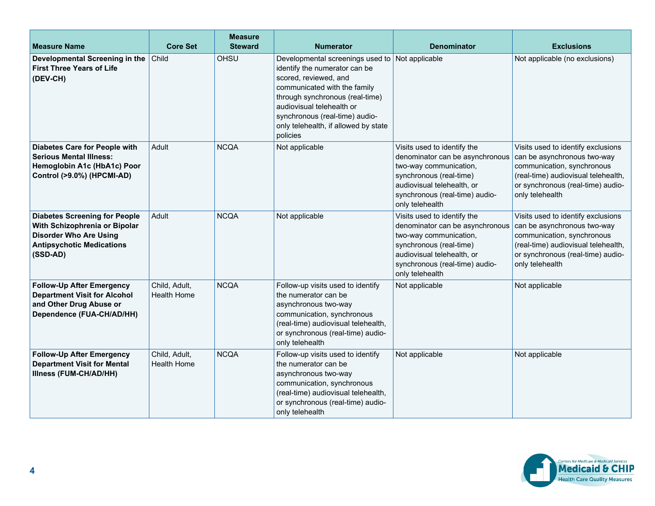| <b>Measure Name</b>                                                                                                                                    | <b>Core Set</b>                     | <b>Measure</b><br><b>Steward</b> | <b>Numerator</b>                                                                                                                                                                                                                                                                 | <b>Denominator</b>                                                                                                                                                                                     | <b>Exclusions</b>                                                                                                                                                                              |
|--------------------------------------------------------------------------------------------------------------------------------------------------------|-------------------------------------|----------------------------------|----------------------------------------------------------------------------------------------------------------------------------------------------------------------------------------------------------------------------------------------------------------------------------|--------------------------------------------------------------------------------------------------------------------------------------------------------------------------------------------------------|------------------------------------------------------------------------------------------------------------------------------------------------------------------------------------------------|
| Developmental Screening in the<br><b>First Three Years of Life</b><br>(DEV-CH)                                                                         | Child                               | OHSU                             | Developmental screenings used to<br>identify the numerator can be<br>scored, reviewed, and<br>communicated with the family<br>through synchronous (real-time)<br>audiovisual telehealth or<br>synchronous (real-time) audio-<br>only telehealth, if allowed by state<br>policies | Not applicable                                                                                                                                                                                         | Not applicable (no exclusions)                                                                                                                                                                 |
| Diabetes Care for People with<br><b>Serious Mental Illness:</b><br>Hemoglobin A1c (HbA1c) Poor<br>Control (>9.0%) (HPCMI-AD)                           | Adult                               | <b>NCQA</b>                      | Not applicable                                                                                                                                                                                                                                                                   | Visits used to identify the<br>denominator can be asynchronous<br>two-way communication,<br>synchronous (real-time)<br>audiovisual telehealth, or<br>synchronous (real-time) audio-<br>only telehealth | Visits used to identify exclusions<br>can be asynchronous two-way<br>communication, synchronous<br>(real-time) audiovisual telehealth,<br>or synchronous (real-time) audio-<br>only telehealth |
| <b>Diabetes Screening for People</b><br>With Schizophrenia or Bipolar<br><b>Disorder Who Are Using</b><br><b>Antipsychotic Medications</b><br>(SSD-AD) | Adult                               | <b>NCQA</b>                      | Not applicable                                                                                                                                                                                                                                                                   | Visits used to identify the<br>denominator can be asynchronous<br>two-way communication,<br>synchronous (real-time)<br>audiovisual telehealth, or<br>synchronous (real-time) audio-<br>only telehealth | Visits used to identify exclusions<br>can be asynchronous two-way<br>communication, synchronous<br>(real-time) audiovisual telehealth,<br>or synchronous (real-time) audio-<br>only telehealth |
| <b>Follow-Up After Emergency</b><br><b>Department Visit for Alcohol</b><br>and Other Drug Abuse or<br>Dependence (FUA-CH/AD/HH)                        | Child, Adult,<br><b>Health Home</b> | <b>NCQA</b>                      | Follow-up visits used to identify<br>the numerator can be<br>asynchronous two-way<br>communication, synchronous<br>(real-time) audiovisual telehealth,<br>or synchronous (real-time) audio-<br>only telehealth                                                                   | Not applicable                                                                                                                                                                                         | Not applicable                                                                                                                                                                                 |
| <b>Follow-Up After Emergency</b><br><b>Department Visit for Mental</b><br>Illness (FUM-CH/AD/HH)                                                       | Child, Adult,<br><b>Health Home</b> | <b>NCQA</b>                      | Follow-up visits used to identify<br>the numerator can be<br>asynchronous two-way<br>communication, synchronous<br>(real-time) audiovisual telehealth,<br>or synchronous (real-time) audio-<br>only telehealth                                                                   | Not applicable                                                                                                                                                                                         | Not applicable                                                                                                                                                                                 |

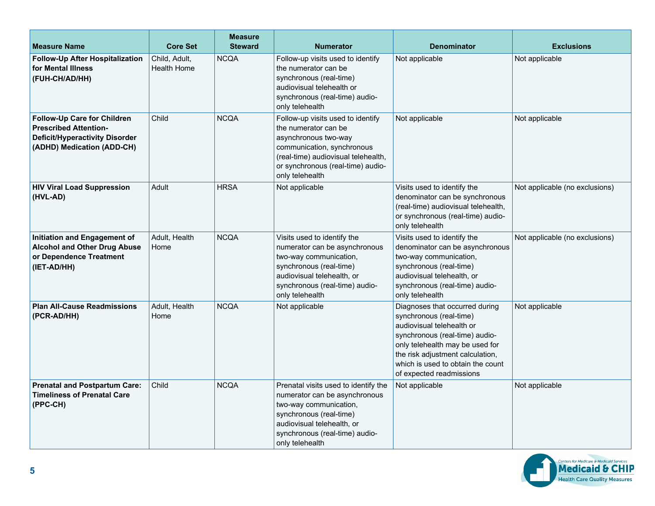| <b>Measure Name</b>                                                                                                                | <b>Core Set</b>                     | <b>Measure</b><br><b>Steward</b> | <b>Numerator</b>                                                                                                                                                                                               | <b>Denominator</b>                                                                                                                                                                                                                                               | <b>Exclusions</b>              |
|------------------------------------------------------------------------------------------------------------------------------------|-------------------------------------|----------------------------------|----------------------------------------------------------------------------------------------------------------------------------------------------------------------------------------------------------------|------------------------------------------------------------------------------------------------------------------------------------------------------------------------------------------------------------------------------------------------------------------|--------------------------------|
| Follow-Up After Hospitalization<br>for Mental Illness<br>(FUH-CH/AD/HH)                                                            | Child. Adult.<br><b>Health Home</b> | <b>NCQA</b>                      | Follow-up visits used to identify<br>the numerator can be<br>synchronous (real-time)<br>audiovisual telehealth or<br>synchronous (real-time) audio-<br>only telehealth                                         | Not applicable                                                                                                                                                                                                                                                   | Not applicable                 |
| Follow-Up Care for Children<br><b>Prescribed Attention-</b><br><b>Deficit/Hyperactivity Disorder</b><br>(ADHD) Medication (ADD-CH) | Child                               | <b>NCQA</b>                      | Follow-up visits used to identify<br>the numerator can be<br>asynchronous two-way<br>communication, synchronous<br>(real-time) audiovisual telehealth,<br>or synchronous (real-time) audio-<br>only telehealth | Not applicable                                                                                                                                                                                                                                                   | Not applicable                 |
| <b>HIV Viral Load Suppression</b><br>(HVL-AD)                                                                                      | Adult                               | <b>HRSA</b>                      | Not applicable                                                                                                                                                                                                 | Visits used to identify the<br>denominator can be synchronous<br>(real-time) audiovisual telehealth,<br>or synchronous (real-time) audio-<br>only telehealth                                                                                                     | Not applicable (no exclusions) |
| Initiation and Engagement of<br><b>Alcohol and Other Drug Abuse</b><br>or Dependence Treatment<br>(IET-AD/HH)                      | Adult, Health<br>Home               | <b>NCQA</b>                      | Visits used to identify the<br>numerator can be asynchronous<br>two-way communication,<br>synchronous (real-time)<br>audiovisual telehealth, or<br>synchronous (real-time) audio-<br>only telehealth           | Visits used to identify the<br>denominator can be asynchronous<br>two-way communication,<br>synchronous (real-time)<br>audiovisual telehealth, or<br>synchronous (real-time) audio-<br>only telehealth                                                           | Not applicable (no exclusions) |
| <b>Plan All-Cause Readmissions</b><br>(PCR-AD/HH)                                                                                  | Adult, Health<br>Home               | <b>NCQA</b>                      | Not applicable                                                                                                                                                                                                 | Diagnoses that occurred during<br>synchronous (real-time)<br>audiovisual telehealth or<br>synchronous (real-time) audio-<br>only telehealth may be used for<br>the risk adjustment calculation,<br>which is used to obtain the count<br>of expected readmissions | Not applicable                 |
| <b>Prenatal and Postpartum Care:</b><br><b>Timeliness of Prenatal Care</b><br>(PPC-CH)                                             | Child                               | <b>NCQA</b>                      | Prenatal visits used to identify the<br>numerator can be asynchronous<br>two-way communication,<br>synchronous (real-time)<br>audiovisual telehealth, or<br>synchronous (real-time) audio-<br>only telehealth  | Not applicable                                                                                                                                                                                                                                                   | Not applicable                 |

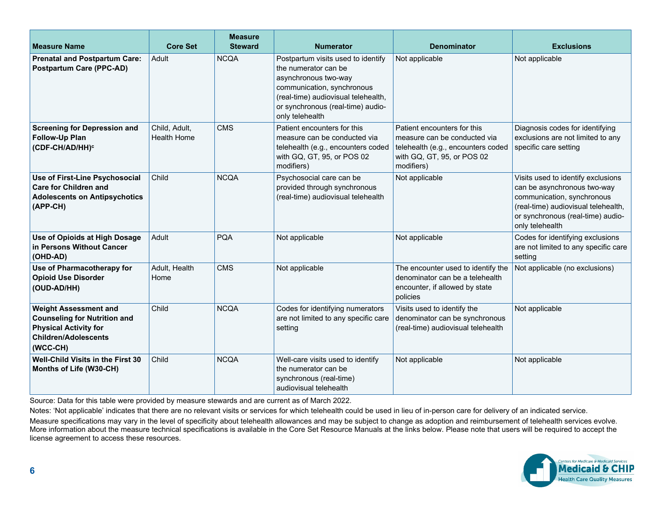| <b>Measure Name</b>                                                                                                                            | <b>Core Set</b>                     | <b>Measure</b><br><b>Steward</b> | <b>Numerator</b>                                                                                                                                                                                                | <b>Denominator</b>                                                                                                                            | <b>Exclusions</b>                                                                                                                                                                              |
|------------------------------------------------------------------------------------------------------------------------------------------------|-------------------------------------|----------------------------------|-----------------------------------------------------------------------------------------------------------------------------------------------------------------------------------------------------------------|-----------------------------------------------------------------------------------------------------------------------------------------------|------------------------------------------------------------------------------------------------------------------------------------------------------------------------------------------------|
| <b>Prenatal and Postpartum Care:</b><br><b>Postpartum Care (PPC-AD)</b>                                                                        | Adult                               | <b>NCQA</b>                      | Postpartum visits used to identify<br>the numerator can be<br>asynchronous two-way<br>communication, synchronous<br>(real-time) audiovisual telehealth,<br>or synchronous (real-time) audio-<br>only telehealth | Not applicable                                                                                                                                | Not applicable                                                                                                                                                                                 |
| <b>Screening for Depression and</b><br><b>Follow-Up Plan</b><br>(CDF-CH/AD/HH) <sup>c</sup>                                                    | Child, Adult,<br><b>Health Home</b> | <b>CMS</b>                       | Patient encounters for this<br>measure can be conducted via<br>telehealth (e.g., encounters coded<br>with GQ, GT, 95, or POS 02<br>modifiers)                                                                   | Patient encounters for this<br>measure can be conducted via<br>telehealth (e.g., encounters coded<br>with GQ, GT, 95, or POS 02<br>modifiers) | Diagnosis codes for identifying<br>exclusions are not limited to any<br>specific care setting                                                                                                  |
| Use of First-Line Psychosocial<br><b>Care for Children and</b><br><b>Adolescents on Antipsychotics</b><br>(APP-CH)                             | Child                               | <b>NCQA</b>                      | Psychosocial care can be<br>provided through synchronous<br>(real-time) audiovisual telehealth                                                                                                                  | Not applicable                                                                                                                                | Visits used to identify exclusions<br>can be asynchronous two-way<br>communication, synchronous<br>(real-time) audiovisual telehealth,<br>or synchronous (real-time) audio-<br>only telehealth |
| Use of Opioids at High Dosage<br>in Persons Without Cancer<br>(OHD-AD)                                                                         | Adult                               | <b>PQA</b>                       | Not applicable                                                                                                                                                                                                  | Not applicable                                                                                                                                | Codes for identifying exclusions<br>are not limited to any specific care<br>setting                                                                                                            |
| Use of Pharmacotherapy for<br><b>Opioid Use Disorder</b><br>(OUD-AD/HH)                                                                        | Adult, Health<br>Home               | <b>CMS</b>                       | Not applicable                                                                                                                                                                                                  | The encounter used to identify the<br>denominator can be a telehealth<br>encounter, if allowed by state<br>policies                           | Not applicable (no exclusions)                                                                                                                                                                 |
| <b>Weight Assessment and</b><br><b>Counseling for Nutrition and</b><br><b>Physical Activity for</b><br><b>Children/Adolescents</b><br>(WCC-CH) | Child                               | <b>NCQA</b>                      | Codes for identifying numerators<br>are not limited to any specific care<br>setting                                                                                                                             | Visits used to identify the<br>denominator can be synchronous<br>(real-time) audiovisual telehealth                                           | Not applicable                                                                                                                                                                                 |
| <b>Well-Child Visits in the First 30</b><br>Months of Life (W30-CH)                                                                            | Child                               | <b>NCQA</b>                      | Well-care visits used to identify<br>the numerator can be<br>synchronous (real-time)<br>audiovisual telehealth                                                                                                  | Not applicable                                                                                                                                | Not applicable                                                                                                                                                                                 |

Source: Data for this table were provided by measure stewards and are current as of March 2022.

Notes: 'Not applicable' indicates that there are no relevant visits or services for which telehealth could be used in lieu of in-person care for delivery of an indicated service.

Measure specifications may vary in the level of specificity about telehealth allowances and may be subject to change as adoption and reimbursement of telehealth services evolve. More information about the measure technical specifications is available in the Core Set Resource Manuals at the links below. Please note that users will be required to accept the license agreement to access these resources.

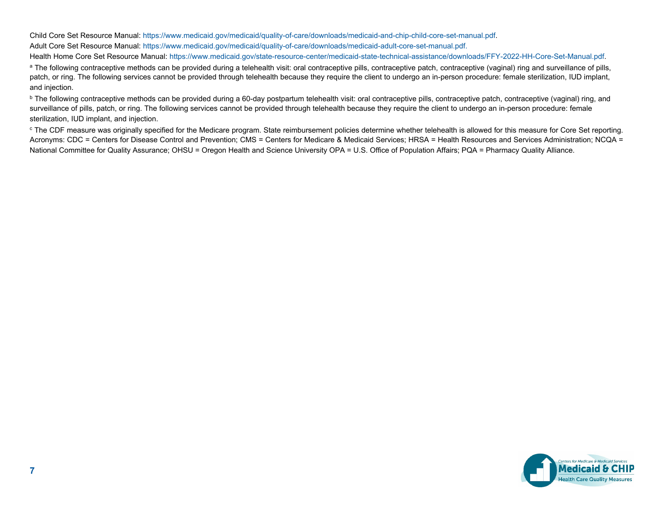Child Core Set Resource Manual: [https://www.medicaid.gov/medicaid/quality-of-care/downloads/medicaid-and-chip-child-core-set-manual.pdf.](https://www.medicaid.gov/medicaid/quality-of-care/downloads/medicaid-and-chip-child-core-set-manual.pdf) Adult Core Set Resource Manual: [https://www.medicaid.gov/medicaid/quality-of-care/downloads/medicaid-adult-core-set-manual.pdf.](https://www.medicaid.gov/medicaid/quality-of-care/downloads/medicaid-adult-core-set-manual.pdf) Health Home Core Set Resource Manual: [https://www.medicaid.gov/state-resource-center/medicaid-state-technical-assistance/downloads/FFY-2022-HH-Core-Set-Manual.pdf.](https://www.medicaid.gov/state-resource-center/medicaid-state-technical-assistance/downloads/FFY-2022-HH-Core-Set-Manual.pdf)

<sup>a</sup> The following contraceptive methods can be provided during a telehealth visit: oral contraceptive pills, contraceptive patch, contraceptive (vaginal) ring and surveillance of pills, patch, or ring. The following services cannot be provided through telehealth because they require the client to undergo an in-person procedure: female sterilization, IUD implant, and injection.

<sup>b</sup> The following contraceptive methods can be provided during a 60-day postpartum telehealth visit: oral contraceptive pills, contraceptive patch, contraceptive (vaginal) ring, and surveillance of pills, patch, or ring. The following services cannot be provided through telehealth because they require the client to undergo an in-person procedure: female sterilization, IUD implant, and injection.

<sup>c</sup> The CDF measure was originally specified for the Medicare program. State reimbursement policies determine whether telehealth is allowed for this measure for Core Set reporting. Acronyms: CDC = Centers for Disease Control and Prevention; CMS = Centers for Medicare & Medicaid Services; HRSA = Health Resources and Services Administration; NCQA = National Committee for Quality Assurance; OHSU = Oregon Health and Science University OPA = U.S. Office of Population Affairs; PQA = Pharmacy Quality Alliance.